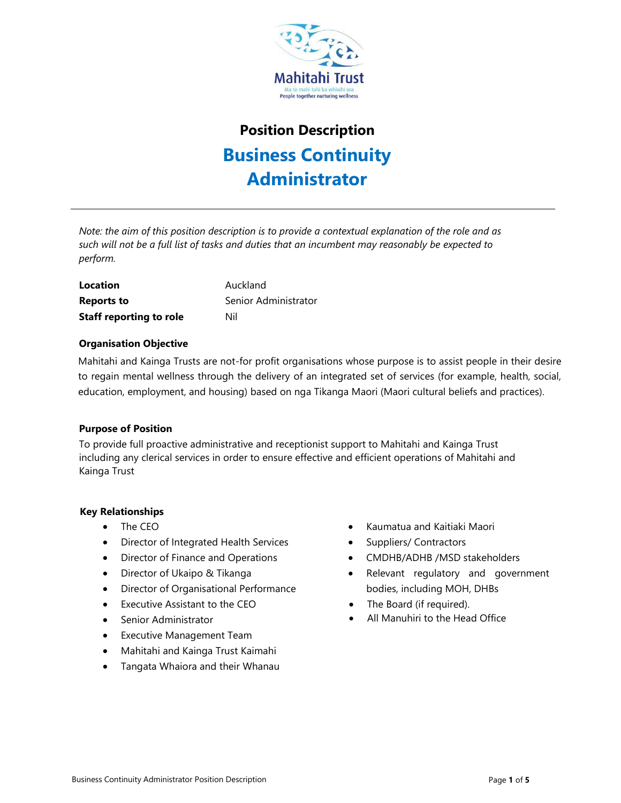

# **Position Description Business Continuity Administrator**

*Note: the aim of this position description is to provide a contextual explanation of the role and as such will not be a full list of tasks and duties that an incumbent may reasonably be expected to perform.*

**Location Auckland Reports to** Senior Administrator **Staff reporting to role** Nil

# **Organisation Objective**

Mahitahi and Kainga Trusts are not-for profit organisations whose purpose is to assist people in their desire to regain mental wellness through the delivery of an integrated set of services (for example, health, social, education, employment, and housing) based on nga Tikanga Maori (Maori cultural beliefs and practices).

# **Purpose of Position**

To provide full proactive administrative and receptionist support to Mahitahi and Kainga Trust including any clerical services in order to ensure effective and efficient operations of Mahitahi and Kainga Trust

# **Key Relationships**

- The CEO
- Director of Integrated Health Services
- Director of Finance and Operations
- Director of Ukaipo & Tikanga
- Director of Organisational Performance
- Executive Assistant to the CEO
- Senior Administrator
- Executive Management Team
- Mahitahi and Kainga Trust Kaimahi
- Tangata Whaiora and their Whanau
- Kaumatua and Kaitiaki Maori
- Suppliers/ Contractors
- CMDHB/ADHB /MSD stakeholders
- Relevant regulatory and government bodies, including MOH, DHBs
- The Board (if required).
- All Manuhiri to the Head Office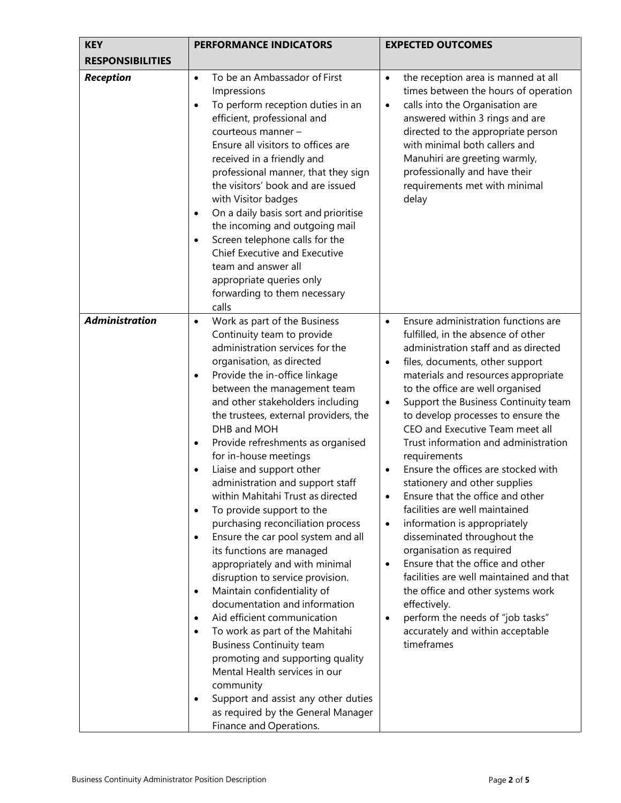| <b>KEY</b>              | <b>PERFORMANCE INDICATORS</b>                                                                                                                                                                                                                                                                                                                                                                                                                                                                                                                                                                                                                                                                                                                                                                                                                                                                                                                                                                                                                                                                                                                                         | <b>EXPECTED OUTCOMES</b>                                                                                                                                                                                                                                                                                                                                                                                                                                                                                                                                                                                                                                                                                                                                                                                                                                                                                                                                               |
|-------------------------|-----------------------------------------------------------------------------------------------------------------------------------------------------------------------------------------------------------------------------------------------------------------------------------------------------------------------------------------------------------------------------------------------------------------------------------------------------------------------------------------------------------------------------------------------------------------------------------------------------------------------------------------------------------------------------------------------------------------------------------------------------------------------------------------------------------------------------------------------------------------------------------------------------------------------------------------------------------------------------------------------------------------------------------------------------------------------------------------------------------------------------------------------------------------------|------------------------------------------------------------------------------------------------------------------------------------------------------------------------------------------------------------------------------------------------------------------------------------------------------------------------------------------------------------------------------------------------------------------------------------------------------------------------------------------------------------------------------------------------------------------------------------------------------------------------------------------------------------------------------------------------------------------------------------------------------------------------------------------------------------------------------------------------------------------------------------------------------------------------------------------------------------------------|
| <b>RESPONSIBILITIES</b> |                                                                                                                                                                                                                                                                                                                                                                                                                                                                                                                                                                                                                                                                                                                                                                                                                                                                                                                                                                                                                                                                                                                                                                       |                                                                                                                                                                                                                                                                                                                                                                                                                                                                                                                                                                                                                                                                                                                                                                                                                                                                                                                                                                        |
| <b>Reception</b>        | To be an Ambassador of First<br>$\bullet$<br>Impressions<br>To perform reception duties in an<br>$\bullet$<br>efficient, professional and<br>courteous manner -<br>Ensure all visitors to offices are<br>received in a friendly and<br>professional manner, that they sign<br>the visitors' book and are issued<br>with Visitor badges<br>On a daily basis sort and prioritise<br>$\bullet$<br>the incoming and outgoing mail<br>Screen telephone calls for the<br>$\bullet$<br>Chief Executive and Executive<br>team and answer all<br>appropriate queries only<br>forwarding to them necessary<br>calls                                                                                                                                                                                                                                                                                                                                                                                                                                                                                                                                                             | the reception area is manned at all<br>$\bullet$<br>times between the hours of operation<br>calls into the Organisation are<br>$\bullet$<br>answered within 3 rings and are<br>directed to the appropriate person<br>with minimal both callers and<br>Manuhiri are greeting warmly,<br>professionally and have their<br>requirements met with minimal<br>delay                                                                                                                                                                                                                                                                                                                                                                                                                                                                                                                                                                                                         |
| <b>Administration</b>   | Work as part of the Business<br>$\bullet$<br>Continuity team to provide<br>administration services for the<br>organisation, as directed<br>Provide the in-office linkage<br>$\bullet$<br>between the management team<br>and other stakeholders including<br>the trustees, external providers, the<br>DHB and MOH<br>Provide refreshments as organised<br>$\bullet$<br>for in-house meetings<br>Liaise and support other<br>$\bullet$<br>administration and support staff<br>within Mahitahi Trust as directed<br>To provide support to the<br>$\bullet$<br>purchasing reconciliation process<br>Ensure the car pool system and all<br>$\bullet$<br>its functions are managed<br>appropriately and with minimal<br>disruption to service provision.<br>Maintain confidentiality of<br>$\bullet$<br>documentation and information<br>Aid efficient communication<br>$\bullet$<br>To work as part of the Mahitahi<br>$\bullet$<br><b>Business Continuity team</b><br>promoting and supporting quality<br>Mental Health services in our<br>community<br>Support and assist any other duties<br>$\bullet$<br>as required by the General Manager<br>Finance and Operations. | Ensure administration functions are<br>$\bullet$<br>fulfilled, in the absence of other<br>administration staff and as directed<br>files, documents, other support<br>$\bullet$<br>materials and resources appropriate<br>to the office are well organised<br>Support the Business Continuity team<br>$\bullet$<br>to develop processes to ensure the<br>CEO and Executive Team meet all<br>Trust information and administration<br>requirements<br>Ensure the offices are stocked with<br>$\bullet$<br>stationery and other supplies<br>Ensure that the office and other<br>facilities are well maintained<br>information is appropriately<br>$\bullet$<br>disseminated throughout the<br>organisation as required<br>Ensure that the office and other<br>$\bullet$<br>facilities are well maintained and that<br>the office and other systems work<br>effectively.<br>perform the needs of "job tasks"<br>$\bullet$<br>accurately and within acceptable<br>timeframes |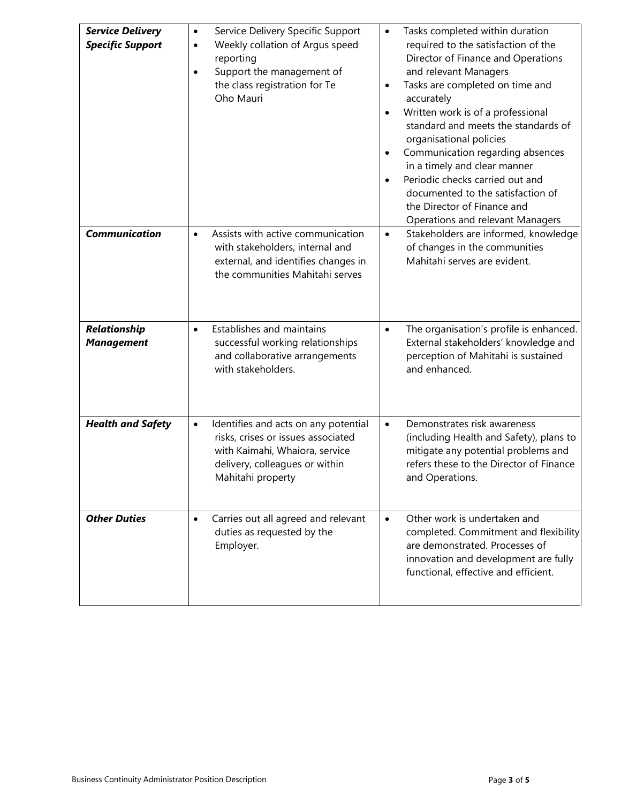| <b>Service Delivery</b><br><b>Specific Support</b> | Service Delivery Specific Support<br>$\bullet$<br>Weekly collation of Argus speed<br>$\bullet$<br>reporting<br>Support the management of<br>$\bullet$<br>the class registration for Te<br>Oho Mauri | Tasks completed within duration<br>$\bullet$<br>required to the satisfaction of the<br>Director of Finance and Operations<br>and relevant Managers<br>Tasks are completed on time and<br>٠<br>accurately<br>Written work is of a professional<br>standard and meets the standards of<br>organisational policies<br>Communication regarding absences<br>in a timely and clear manner<br>Periodic checks carried out and<br>documented to the satisfaction of<br>the Director of Finance and<br>Operations and relevant Managers |
|----------------------------------------------------|-----------------------------------------------------------------------------------------------------------------------------------------------------------------------------------------------------|--------------------------------------------------------------------------------------------------------------------------------------------------------------------------------------------------------------------------------------------------------------------------------------------------------------------------------------------------------------------------------------------------------------------------------------------------------------------------------------------------------------------------------|
| <b>Communication</b>                               | Assists with active communication<br>$\bullet$<br>with stakeholders, internal and<br>external, and identifies changes in<br>the communities Mahitahi serves                                         | Stakeholders are informed, knowledge<br>$\bullet$<br>of changes in the communities<br>Mahitahi serves are evident.                                                                                                                                                                                                                                                                                                                                                                                                             |
| Relationship<br><b>Management</b>                  | Establishes and maintains<br>$\bullet$<br>successful working relationships<br>and collaborative arrangements<br>with stakeholders.                                                                  | The organisation's profile is enhanced.<br>$\bullet$<br>External stakeholders' knowledge and<br>perception of Mahitahi is sustained<br>and enhanced.                                                                                                                                                                                                                                                                                                                                                                           |
| <b>Health and Safety</b>                           | Identifies and acts on any potential<br>$\bullet$<br>risks, crises or issues associated<br>with Kaimahi, Whaiora, service<br>delivery, colleagues or within<br>Mahitahi property                    | Demonstrates risk awareness<br>$\bullet$<br>(including Health and Safety), plans to<br>mitigate any potential problems and<br>refers these to the Director of Finance<br>and Operations.                                                                                                                                                                                                                                                                                                                                       |
| <b>Other Duties</b>                                | Carries out all agreed and relevant<br>$\bullet$<br>duties as requested by the<br>Employer.                                                                                                         | Other work is undertaken and<br>$\bullet$<br>completed. Commitment and flexibility<br>are demonstrated. Processes of<br>innovation and development are fully<br>functional, effective and efficient.                                                                                                                                                                                                                                                                                                                           |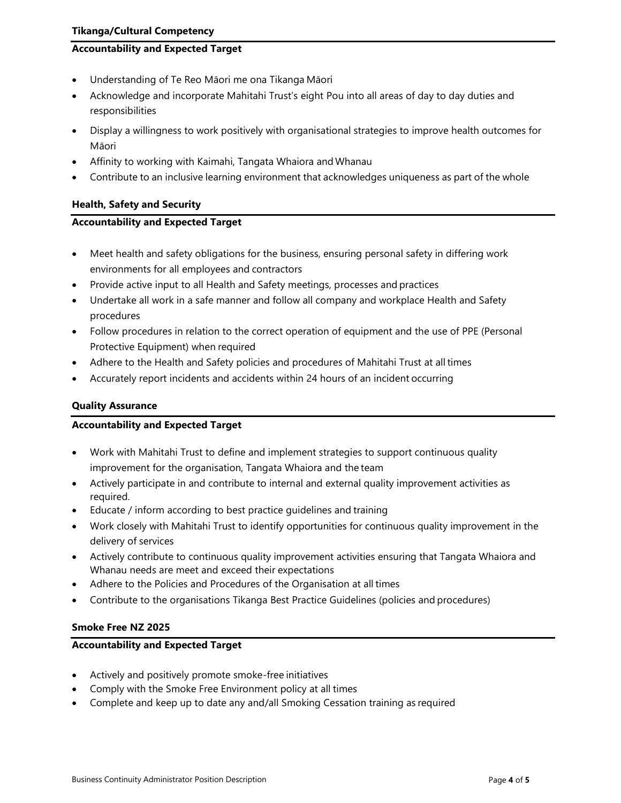# **Accountability and Expected Target**

- Understanding of Te Reo Māori me ona Tikanga Māori
- Acknowledge and incorporate Mahitahi Trust's eight Pou into all areas of day to day duties and responsibilities
- Display a willingness to work positively with organisational strategies to improve health outcomes for Māori
- Affinity to working with Kaimahi, Tangata Whaiora and Whanau
- Contribute to an inclusive learning environment that acknowledges uniqueness as part of the whole

# **Health, Safety and Security**

### **Accountability and Expected Target**

- Meet health and safety obligations for the business, ensuring personal safety in differing work environments for all employees and contractors
- Provide active input to all Health and Safety meetings, processes and practices
- Undertake all work in a safe manner and follow all company and workplace Health and Safety procedures
- Follow procedures in relation to the correct operation of equipment and the use of PPE (Personal Protective Equipment) when required
- Adhere to the Health and Safety policies and procedures of Mahitahi Trust at all times
- Accurately report incidents and accidents within 24 hours of an incident occurring

# **Quality Assurance**

#### **Accountability and Expected Target**

- Work with Mahitahi Trust to define and implement strategies to support continuous quality improvement for the organisation, Tangata Whaiora and the team
- Actively participate in and contribute to internal and external quality improvement activities as required.
- Educate / inform according to best practice guidelines and training
- Work closely with Mahitahi Trust to identify opportunities for continuous quality improvement in the delivery of services
- Actively contribute to continuous quality improvement activities ensuring that Tangata Whaiora and Whanau needs are meet and exceed their expectations
- Adhere to the Policies and Procedures of the Organisation at all times
- Contribute to the organisations Tikanga Best Practice Guidelines (policies and procedures)

# **Smoke Free NZ 2025**

# **Accountability and Expected Target**

- Actively and positively promote smoke-free initiatives
- Comply with the Smoke Free Environment policy at all times
- Complete and keep up to date any and/all Smoking Cessation training as required